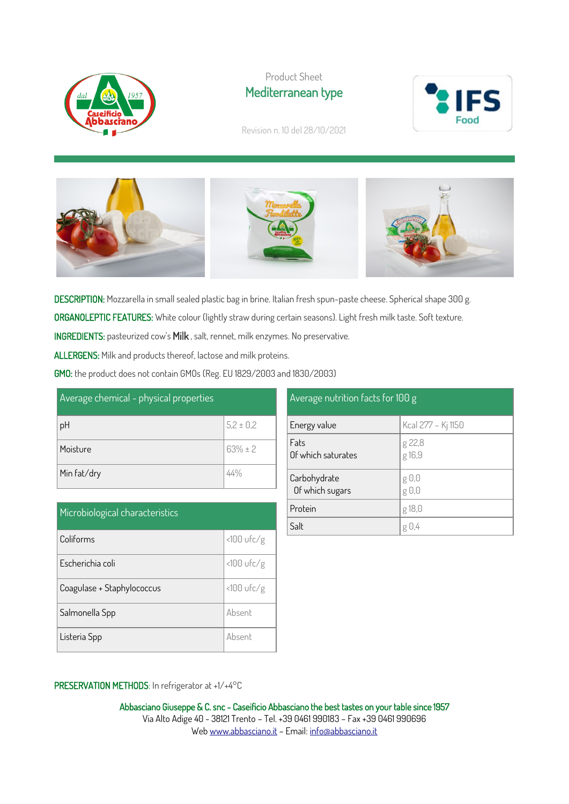

Product Sheet Mediterranean type



Revision n. 10 del 28/10/2021





DESCRIPTION: Mozzarella in small sealed plastic bag in brine. Italian fresh spun-paste cheese. Spherical shape 300 g. ORGANOLEPTIC FEATURES: White colour (lightly straw during certain seasons). Light fresh milk taste. Soft texture.

INGREDIENTS: pasteurized cow's Milk , salt, rennet, milk enzymes. No preservative.

ALLERGENS: Milk and products thereof, lactose and milk proteins.

GMO: the product does not contain GMOs (Reg. EU 1829/2003 and 1830/2003)

| Average chemical - physical properties |               |  |
|----------------------------------------|---------------|--|
| pH                                     | $5,2 \pm 0,2$ |  |
| Moisture                               | $63% \pm 2$   |  |
| Min fat/dry                            | 44%           |  |

| Microbiological characteristics |               |
|---------------------------------|---------------|
| Coliforms                       | $<$ 100 ufc/g |
| Escherichia coli                | $<100$ ufc/g  |
| Coagulase + Staphylococcus      | $<100$ ufc/g  |
| Salmonella Spp                  | Absent        |
| Listeria Spp                    | Absent        |

| Average nutrition facts for 100 g |                                |  |
|-----------------------------------|--------------------------------|--|
| Energy value                      | Kcal 277 - Kj 1150             |  |
| Fats<br>Of which saturates        | g 22,8<br>g 16,9               |  |
| Carbohydrate<br>Of which sugars   | g 0,0<br>$g \theta$ , $\theta$ |  |
| Protein                           | g 18,0                         |  |
| Salt                              | g 0.4                          |  |

## PRESERVATION METHODS: In refrigerator at +1/+4°C

Abbasciano Giuseppe & C. snc - Caseificio Abbasciano the best tastes on your table since 1957 Via Alto Adige 40 - 38121 Trento – Tel. +39 0461 990183 – Fax +39 0461 990696 We[b www.abbasciano.it](http://www.abbasciano.it/) – Email[: info@abbasciano.it](mailto:info@abbasciano.it)